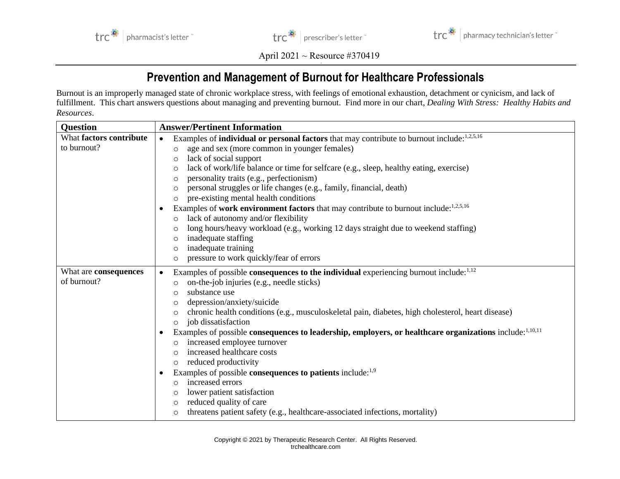



April 2021 ~ Resource #370419

## **Prevention and Management of Burnout for Healthcare Professionals**

Burnout is an improperly managed state of chronic workplace stress, with feelings of emotional exhaustion, detachment or cynicism, and lack of fulfillment. This chart answers questions about managing and preventing burnout. Find more in our chart, *Dealing With Stress: Healthy Habits and Resources*.

| <b>Question</b>         | <b>Answer/Pertinent Information</b>                                                                                 |
|-------------------------|---------------------------------------------------------------------------------------------------------------------|
| What factors contribute | Examples of <b>individual or personal factors</b> that may contribute to burnout include: <sup>1,2,5,16</sup>       |
| to burnout?             | age and sex (more common in younger females)<br>$\circ$                                                             |
|                         | lack of social support<br>$\circ$                                                                                   |
|                         | lack of work/life balance or time for selfcare (e.g., sleep, healthy eating, exercise)<br>$\circ$                   |
|                         | personality traits (e.g., perfectionism)<br>$\circ$                                                                 |
|                         | personal struggles or life changes (e.g., family, financial, death)<br>$\circ$                                      |
|                         | pre-existing mental health conditions<br>$\circ$                                                                    |
|                         | Examples of work environment factors that may contribute to burnout include: $1.2.5,16$<br>$\bullet$                |
|                         | lack of autonomy and/or flexibility<br>$\circ$                                                                      |
|                         | long hours/heavy workload (e.g., working 12 days straight due to weekend staffing)<br>$\circ$                       |
|                         | inadequate staffing<br>$\circ$                                                                                      |
|                         | inadequate training<br>$\circ$                                                                                      |
|                         | pressure to work quickly/fear of errors<br>$\circ$                                                                  |
| What are consequences   | Examples of possible consequences to the individual experiencing burnout include: <sup>1,12</sup><br>$\bullet$      |
| of burnout?             | on-the-job injuries (e.g., needle sticks)                                                                           |
|                         | substance use<br>$\circ$                                                                                            |
|                         | depression/anxiety/suicide<br>$\circ$                                                                               |
|                         | chronic health conditions (e.g., musculoskeletal pain, diabetes, high cholesterol, heart disease)<br>$\circ$        |
|                         | job dissatisfaction<br>$\circ$                                                                                      |
|                         | Examples of possible consequences to leadership, employers, or healthcare organizations include: <sup>1,10,11</sup> |
|                         | increased employee turnover<br>$\circ$                                                                              |
|                         | increased healthcare costs<br>$\circ$                                                                               |
|                         | reduced productivity<br>$\circ$                                                                                     |
|                         | Examples of possible <b>consequences to patients</b> include: <sup>1,9</sup><br>$\bullet$                           |
|                         | increased errors<br>$\circ$                                                                                         |
|                         | lower patient satisfaction<br>$\circ$                                                                               |
|                         | reduced quality of care<br>$\circ$                                                                                  |
|                         | threatens patient safety (e.g., healthcare-associated infections, mortality)<br>$\circ$                             |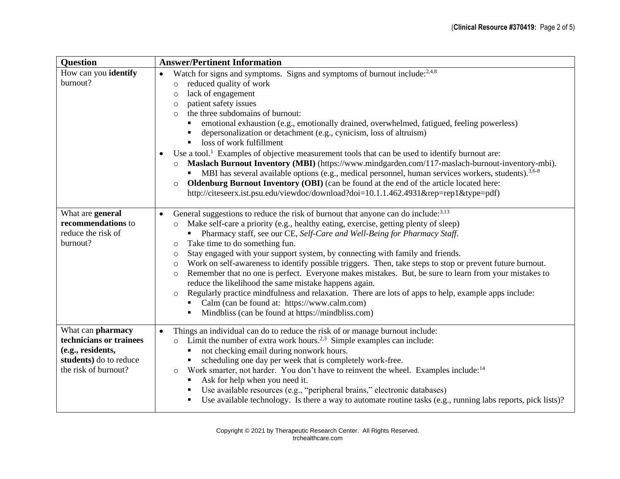| <b>Question</b>                                                                                                     | <b>Answer/Pertinent Information</b>                                                                                                                                                                                                                                                                                                                                                                                                                                                                                                                                                                                                                                                                                                                                                                                                                                                                                                                                                                         |
|---------------------------------------------------------------------------------------------------------------------|-------------------------------------------------------------------------------------------------------------------------------------------------------------------------------------------------------------------------------------------------------------------------------------------------------------------------------------------------------------------------------------------------------------------------------------------------------------------------------------------------------------------------------------------------------------------------------------------------------------------------------------------------------------------------------------------------------------------------------------------------------------------------------------------------------------------------------------------------------------------------------------------------------------------------------------------------------------------------------------------------------------|
| How can you identify<br>burnout?                                                                                    | Watch for signs and symptoms. Signs and symptoms of burnout include: <sup>2,4,8</sup><br>$\bullet$<br>reduced quality of work<br>$\circ$<br>lack of engagement<br>$\circ$<br>patient safety issues<br>$\circ$<br>the three subdomains of burnout:<br>$\Omega$<br>emotional exhaustion (e.g., emotionally drained, overwhelmed, fatigued, feeling powerless)<br>depersonalization or detachment (e.g., cynicism, loss of altruism)<br>loss of work fulfillment<br>Use a tool. <sup>1</sup> Examples of objective measurement tools that can be used to identify burnout are:<br>Maslach Burnout Inventory (MBI) (https://www.mindgarden.com/117-maslach-burnout-inventory-mbi).<br>MBI has several available options (e.g., medical personnel, human services workers, students). <sup>3,6-8</sup><br>٠<br><b>Oldenburg Burnout Inventory (OBI)</b> (can be found at the end of the article located here:<br>$\circ$<br>http://citeseerx.ist.psu.edu/viewdoc/download?doi=10.1.1.462.4931&rep=rep1&type=pdf) |
| What are general<br>recommendations to<br>reduce the risk of<br>burnout?                                            | General suggestions to reduce the risk of burnout that anyone can do include: <sup>3,13</sup><br>Make self-care a priority (e.g., healthy eating, exercise, getting plenty of sleep)<br>$\circ$<br>Pharmacy staff, see our CE, Self-Care and Well-Being for Pharmacy Staff.<br>Take time to do something fun.<br>$\circ$<br>Stay engaged with your support system, by connecting with family and friends.<br>$\circ$<br>Work on self-awareness to identify possible triggers. Then, take steps to stop or prevent future burnout.<br>$\circ$<br>Remember that no one is perfect. Everyone makes mistakes. But, be sure to learn from your mistakes to<br>$\circ$<br>reduce the likelihood the same mistake happens again.<br>Regularly practice mindfulness and relaxation. There are lots of apps to help, example apps include:<br>$\circ$<br>Calm (can be found at: https://www.calm.com)<br>Mindbliss (can be found at https://mindbliss.com)                                                           |
| What can pharmacy<br>technicians or trainees<br>(e.g., residents,<br>students) do to reduce<br>the risk of burnout? | Things an individual can do to reduce the risk of or manage burnout include:<br>$\bullet$<br>Limit the number of extra work hours. <sup>2,3</sup> Simple examples can include:<br>$\circ$<br>not checking email during nonwork hours.<br>scheduling one day per week that is completely work-free.<br>Work smarter, not harder. You don't have to reinvent the wheel. Examples include: <sup>14</sup><br>$\circ$<br>Ask for help when you need it.<br>Use available resources (e.g., "peripheral brains," electronic databases)<br>Use available technology. Is there a way to automate routine tasks (e.g., running labs reports, pick lists)?<br>٠                                                                                                                                                                                                                                                                                                                                                        |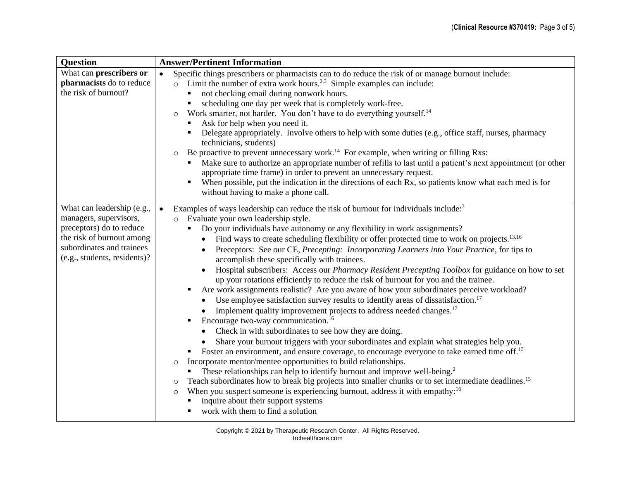| <b>Question</b>                                           | <b>Answer/Pertinent Information</b>                                                                                                                                                      |
|-----------------------------------------------------------|------------------------------------------------------------------------------------------------------------------------------------------------------------------------------------------|
| What can prescribers or                                   | Specific things prescribers or pharmacists can to do reduce the risk of or manage burnout include:<br>$\bullet$                                                                          |
| pharmacists do to reduce                                  | Limit the number of extra work hours. <sup>2,3</sup> Simple examples can include:<br>$\circ$                                                                                             |
| the risk of burnout?                                      | not checking email during nonwork hours.                                                                                                                                                 |
|                                                           | scheduling one day per week that is completely work-free.<br>$\blacksquare$                                                                                                              |
|                                                           | Work smarter, not harder. You don't have to do everything yourself. <sup>14</sup><br>$\circ$                                                                                             |
|                                                           | Ask for help when you need it.<br>$\blacksquare$                                                                                                                                         |
|                                                           | Delegate appropriately. Involve others to help with some duties (e.g., office staff, nurses, pharmacy<br>technicians, students)                                                          |
|                                                           | Be proactive to prevent unnecessary work. <sup>14</sup> For example, when writing or filling Rxs:<br>$\circ$                                                                             |
|                                                           | Make sure to authorize an appropriate number of refills to last until a patient's next appointment (or other<br>appropriate time frame) in order to prevent an unnecessary request.      |
|                                                           | When possible, put the indication in the directions of each Rx, so patients know what each med is for<br>without having to make a phone call.                                            |
| What can leadership (e.g.,                                | Examples of ways leadership can reduce the risk of burnout for individuals include: <sup>3</sup><br>$\bullet$                                                                            |
| managers, supervisors,                                    | Evaluate your own leadership style.                                                                                                                                                      |
| preceptors) do to reduce                                  | Do your individuals have autonomy or any flexibility in work assignments?<br>٠                                                                                                           |
| the risk of burnout among                                 | Find ways to create scheduling flexibility or offer protected time to work on projects. <sup>13,16</sup>                                                                                 |
| subordinates and trainees<br>(e.g., students, residents)? | Preceptors: See our CE, Precepting: Incorporating Learners into Your Practice, for tips to<br>accomplish these specifically with trainees.                                               |
|                                                           | Hospital subscribers: Access our Pharmacy Resident Precepting Toolbox for guidance on how to set<br>up your rotations efficiently to reduce the risk of burnout for you and the trainee. |
|                                                           | Are work assignments realistic? Are you aware of how your subordinates perceive workload?                                                                                                |
|                                                           | Use employee satisfaction survey results to identify areas of dissatisfaction. <sup>17</sup>                                                                                             |
|                                                           | Implement quality improvement projects to address needed changes. <sup>17</sup>                                                                                                          |
|                                                           | Encourage two-way communication. <sup>16</sup><br>$\blacksquare$                                                                                                                         |
|                                                           | Check in with subordinates to see how they are doing.                                                                                                                                    |
|                                                           | Share your burnout triggers with your subordinates and explain what strategies help you.                                                                                                 |
|                                                           | Foster an environment, and ensure coverage, to encourage everyone to take earned time off. <sup>13</sup>                                                                                 |
|                                                           | Incorporate mentor/mentee opportunities to build relationships.<br>$\circ$                                                                                                               |
|                                                           | These relationships can help to identify burnout and improve well-being. <sup>2</sup>                                                                                                    |
|                                                           | Teach subordinates how to break big projects into smaller chunks or to set intermediate deadlines. <sup>15</sup><br>$\circ$                                                              |
|                                                           | When you suspect someone is experiencing burnout, address it with empathy: <sup>16</sup><br>$\circ$                                                                                      |
|                                                           | inquire about their support systems                                                                                                                                                      |
|                                                           | work with them to find a solution                                                                                                                                                        |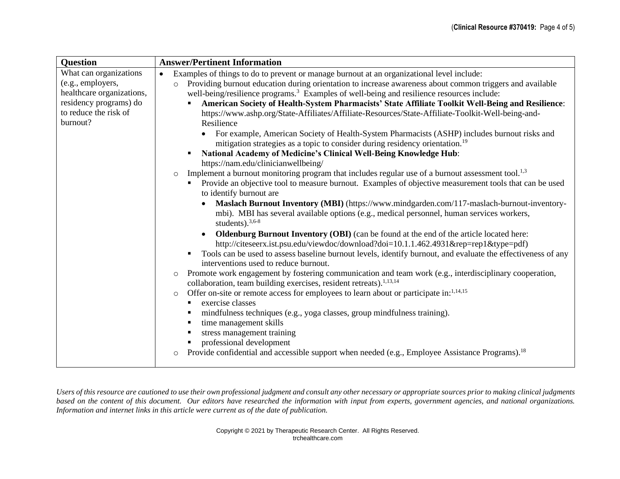| <b>Question</b>                                                                                                                         | <b>Answer/Pertinent Information</b>                                                                                                                                                                                                                                                                                                                                                                                                                                                                                                                                                                                                                                                                                                                                                                                                                                                                                                                                                                                                                                                                                                                                                                                                                                                                                                                                                                                                                                                                                                                                                                                                                                                                                                                                                                                                                                                                                                                                                                                                                                                                                                                                                                                          |
|-----------------------------------------------------------------------------------------------------------------------------------------|------------------------------------------------------------------------------------------------------------------------------------------------------------------------------------------------------------------------------------------------------------------------------------------------------------------------------------------------------------------------------------------------------------------------------------------------------------------------------------------------------------------------------------------------------------------------------------------------------------------------------------------------------------------------------------------------------------------------------------------------------------------------------------------------------------------------------------------------------------------------------------------------------------------------------------------------------------------------------------------------------------------------------------------------------------------------------------------------------------------------------------------------------------------------------------------------------------------------------------------------------------------------------------------------------------------------------------------------------------------------------------------------------------------------------------------------------------------------------------------------------------------------------------------------------------------------------------------------------------------------------------------------------------------------------------------------------------------------------------------------------------------------------------------------------------------------------------------------------------------------------------------------------------------------------------------------------------------------------------------------------------------------------------------------------------------------------------------------------------------------------------------------------------------------------------------------------------------------------|
| What can organizations<br>(e.g., employers,<br>healthcare organizations,<br>residency programs) do<br>to reduce the risk of<br>burnout? | Examples of things to do to prevent or manage burnout at an organizational level include:<br>$\bullet$<br>Providing burnout education during orientation to increase awareness about common triggers and available<br>$\circ$<br>well-being/resilience programs. <sup>3</sup> Examples of well-being and resilience resources include:<br>American Society of Health-System Pharmacists' State Affiliate Toolkit Well-Being and Resilience:<br>$\blacksquare$<br>https://www.ashp.org/State-Affiliates/Affiliate-Resources/State-Affiliate-Toolkit-Well-being-and-<br>Resilience<br>For example, American Society of Health-System Pharmacists (ASHP) includes burnout risks and<br>mitigation strategies as a topic to consider during residency orientation. <sup>19</sup><br>National Academy of Medicine's Clinical Well-Being Knowledge Hub:<br>https://nam.edu/clinicianwellbeing/<br>Implement a burnout monitoring program that includes regular use of a burnout assessment tool. <sup>1,3</sup><br>$\circ$<br>Provide an objective tool to measure burnout. Examples of objective measurement tools that can be used<br>to identify burnout are<br>Maslach Burnout Inventory (MBI) (https://www.mindgarden.com/117-maslach-burnout-inventory-<br>mbi). MBI has several available options (e.g., medical personnel, human services workers,<br>students). $3,6-8$<br><b>Oldenburg Burnout Inventory (OBI)</b> (can be found at the end of the article located here:<br>http://citeseerx.ist.psu.edu/viewdoc/download?doi=10.1.1.462.4931&rep=rep1&type=pdf)<br>Tools can be used to assess baseline burnout levels, identify burnout, and evaluate the effectiveness of any<br>interventions used to reduce burnout.<br>Promote work engagement by fostering communication and team work (e.g., interdisciplinary cooperation,<br>$\circ$<br>collaboration, team building exercises, resident retreats). <sup>1,13,14</sup><br>Offer on-site or remote access for employees to learn about or participate in:1,14,15<br>$\circ$<br>exercise classes<br>$\blacksquare$<br>mindfulness techniques (e.g., yoga classes, group mindfulness training).<br>п<br>time management skills<br>٠<br>stress management training |
|                                                                                                                                         | professional development<br>Provide confidential and accessible support when needed (e.g., Employee Assistance Programs). <sup>18</sup><br>$\circ$                                                                                                                                                                                                                                                                                                                                                                                                                                                                                                                                                                                                                                                                                                                                                                                                                                                                                                                                                                                                                                                                                                                                                                                                                                                                                                                                                                                                                                                                                                                                                                                                                                                                                                                                                                                                                                                                                                                                                                                                                                                                           |

*Users of this resource are cautioned to use their own professional judgment and consult any other necessary or appropriate sources prior to making clinical judgments*  based on the content of this document. Our editors have researched the information with input from experts, government agencies, and national organizations. *Information and internet links in this article were current as of the date of publication.*

> Copyright © 2021 by Therapeutic Research Center. All Rights Reserved. trchealthcare.com